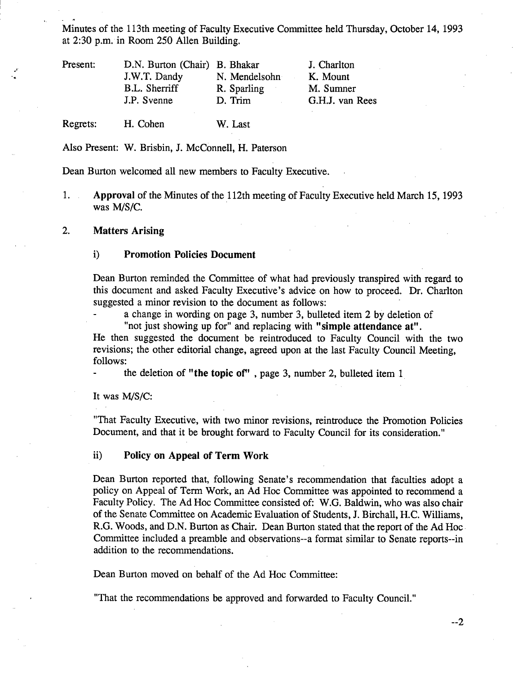Minutes of the 113th meeting of Faculty Executive Committee held Thursday, October 14, 1993 at 2:30 p.m. in Room *250* Allen Building.

| Present: | D.N. Burton (Chair) B. Bhakar |               | J. Charlton     |
|----------|-------------------------------|---------------|-----------------|
|          | J.W.T. Dandy                  | N. Mendelsohn | K. Mount        |
|          | B.L. Sherriff                 | R. Sparling   | M. Sumner       |
|          | J.P. Svenne                   | D. Trim       | G.H.J. van Rees |
| Regrets: | H. Cohen                      | W. Last       |                 |

Also Present: W. Brisbin, J. McConnell, H. Paterson

Dean Burton welcomed all new members to Faculty Executive.

 $1.$ **Approval** of the Minutes of the 112th meeting of Faculty Executive held March *15,* 1993 was M/S/C.

### $2.$ **Matters Arising**

### 1) **Promotion Policies Document**

Dean Burton reminded the Committee of what had previously transpired with regard to this document and asked Faculty Executive's advice on how to proceed. Dr. Charlton suggested a minor revision to the document as follows:

a change in wording on page 3, number 3, bulleted item 2 by deletion of

"not just showing up for" and replacing with **"simple attendance at".** 

He then suggested the document be reintroduced to Faculty Council with the two revisions; the other editorial change, agreed upon at the last Faculty Council Meeting, follows:

the deletion of **"the topic of"** , page 3, number 2, bulleted item 1

It was M/S/C:

"That Faculty Executive, with two minor revisions, reintroduce the Promotion Policies Document, and that it be brought forward to Faculty Council for its consideration."

# **ii) Policy on Appeal of Term Work**

Dean Burton reported that, following Senate's recommendation that faculties adopt a policy on Appeal of Term Work, an Ad Hoc Committee was appointed to recommend a Faculty Policy. The Ad Hoc Committee consisted of: W.G. Baldwin, who was also chair of the Senate Committee on Academic Evaluation of Students, J. Birchall, H.C. Williams, R.G. Woods, and D.N. Burton as Chair. Dean Burton stated that the report of the Ad Hoc Committee included a preamble and observations--a format similar to Senate reports--in addition to the recommendations.

Dean Burton moved on behalf of the Ad Hoc Committee:

"That the recommendations be approved and forwarded to Faculty Council."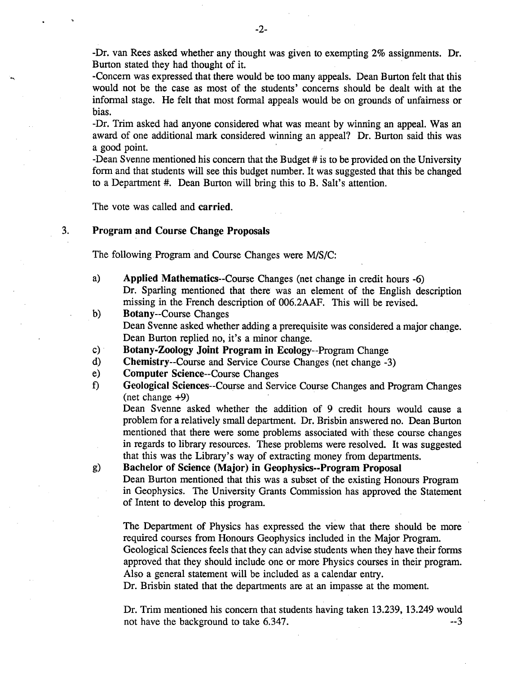-Dr. van Rees asked whether any thought was given to exempting 2% assignments. Dr. Burton stated they had thought of it.

-Concern was expressed that there would be too many appeals. Dean Burton felt that this would not be the case as most of the students' concerns should be dealt with at the informal stage. He felt that most formal appeals would be on grounds of unfairness or bias.

-Dr. Trim asked had anyone considered what was meant by winning an appeal. Was an award of one additional mark considered winning an appeal? Dr. Burton said this was a good point.

-Dean Svenne mentioned his concern that the Budget # is to be provided on the University form and that students will see this budget number. It was suggested that this be changed to a Department #. Dean Burton will bring this to B. Salt's attention.

The vote was called and carried.

# 3. **Program and Course Change Proposals**

The following Program and Course Changes were M/S/C:

- **Applied Mathematics--Course** Changes (net change in credit hours -6)  $a)$ Dr. Sparling mentioned that there was an element of the English description missing in the French description of 006.2AAF. This will be revised.
- $b)$ Botany--Course Changes Dean Svenne asked whether adding a prerequisite was considered a major change. Dean Burton replied no, it's a minor change.
- **Botany-Zoology Joint Program in** Ecology--Program Change  $\mathbf{c})$  :
- $\mathbf{d}$ Chemistry--Course and Service Course Changes (net change -3)
- $e)$ **Computer Science--Course** Changes
- 0 **Geological Sciences--Course** and Service Course Changes and Program Changes (net change +9)

Dean Svenne asked whether the addition of 9 credit hours would cause a problem for a relatively small department. Dr. Brisbin answered no. Dean Burton mentioned that there were some problems associated with' these course changes in regards to library resources. These problems were resolved. It was suggested that this was the Library's way of extracting money from departments.

g) **Bachelor of Science (Major) in Geophysics--Program Proposal** 

Dean Burton mentioned that this was a subset of the existing Honours Program in Geophysics. The University Grants Commission has approved the Statement of Intent to develop this program.

The Department of Physics has expressed the view that there should be more required courses from Honours Geophysics included in the Major Program. Geological Sciences feels that they can advise students when they have their forms approved that they should include one or more Physics courses in their program. Also a general statement will be included as a calendar entry.

Dr. Brisbin stated that the departments are at an impasse at the moment.

Dr. Trim mentioned his concern that students having taken 13.239, 13.249 would not have the background to take 6.347.